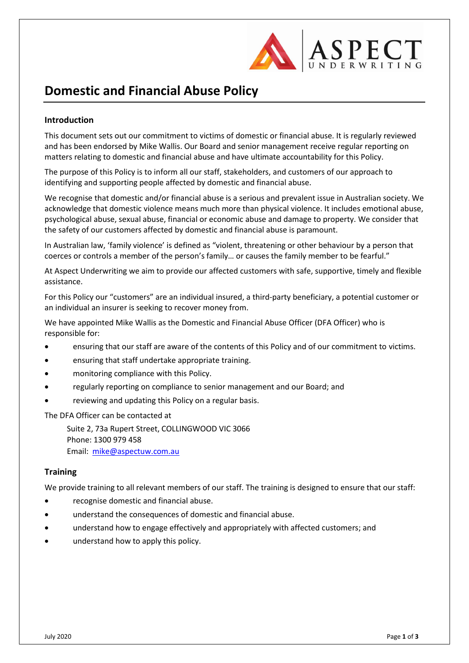

# **Domestic and Financial Abuse Policy**

## **Introduction**

This document sets out our commitment to victims of domestic or financial abuse. It is regularly reviewed and has been endorsed by Mike Wallis. Our Board and senior management receive regular reporting on matters relating to domestic and financial abuse and have ultimate accountability for this Policy.

The purpose of this Policy is to inform all our staff, stakeholders, and customers of our approach to identifying and supporting people affected by domestic and financial abuse.

We recognise that domestic and/or financial abuse is a serious and prevalent issue in Australian society. We acknowledge that domestic violence means much more than physical violence. It includes emotional abuse, psychological abuse, sexual abuse, financial or economic abuse and damage to property. We consider that the safety of our customers affected by domestic and financial abuse is paramount.

In Australian law, 'family violence' is defined as "violent, threatening or other behaviour by a person that coerces or controls a member of the person's family… or causes the family member to be fearful."

At Aspect Underwriting we aim to provide our affected customers with safe, supportive, timely and flexible assistance.

For this Policy our "customers" are an individual insured, a third-party beneficiary, a potential customer or an individual an insurer is seeking to recover money from.

We have appointed Mike Wallis as the Domestic and Financial Abuse Officer (DFA Officer) who is responsible for:

- ensuring that our staff are aware of the contents of this Policy and of our commitment to victims.
- ensuring that staff undertake appropriate training.
- monitoring compliance with this Policy.
- regularly reporting on compliance to senior management and our Board; and
- reviewing and updating this Policy on a regular basis.

The DFA Officer can be contacted at

Suite 2, 73a Rupert Street, COLLINGWOOD VIC 3066 Phone: 1300 979 458 Email: [mike@aspectuw.com.au](mailto:mike@aspectuw.com.au)

### **Training**

We provide training to all relevant members of our staff. The training is designed to ensure that our staff:

- recognise domestic and financial abuse.
- understand the consequences of domestic and financial abuse.
- understand how to engage effectively and appropriately with affected customers; and
- understand how to apply this policy.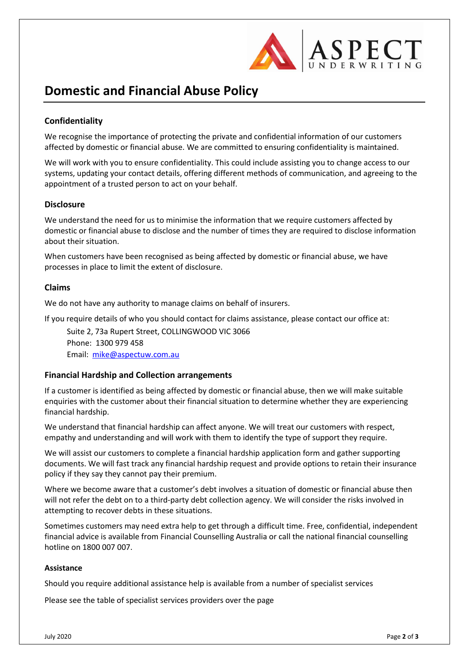

## **Domestic and Financial Abuse Policy**

## **Confidentiality**

We recognise the importance of protecting the private and confidential information of our customers affected by domestic or financial abuse. We are committed to ensuring confidentiality is maintained.

We will work with you to ensure confidentiality. This could include assisting you to change access to our systems, updating your contact details, offering different methods of communication, and agreeing to the appointment of a trusted person to act on your behalf.

#### **Disclosure**

We understand the need for us to minimise the information that we require customers affected by domestic or financial abuse to disclose and the number of times they are required to disclose information about their situation.

When customers have been recognised as being affected by domestic or financial abuse, we have processes in place to limit the extent of disclosure.

#### **Claims**

We do not have any authority to manage claims on behalf of insurers.

If you require details of who you should contact for claims assistance, please contact our office at:

Suite 2, 73a Rupert Street, COLLINGWOOD VIC 3066 Phone: 1300 979 458 Email: [mike@aspectuw.com.au](mailto:mike@aspectuw.com.au)

### **Financial Hardship and Collection arrangements**

If a customer is identified as being affected by domestic or financial abuse, then we will make suitable enquiries with the customer about their financial situation to determine whether they are experiencing financial hardship.

We understand that financial hardship can affect anyone. We will treat our customers with respect, empathy and understanding and will work with them to identify the type of support they require.

We will assist our customers to complete a financial hardship application form and gather supporting documents. We will fast track any financial hardship request and provide options to retain their insurance policy if they say they cannot pay their premium.

Where we become aware that a customer's debt involves a situation of domestic or financial abuse then will not refer the debt on to a third-party debt collection agency. We will consider the risks involved in attempting to recover debts in these situations.

Sometimes customers may need extra help to get through a difficult time. Free, confidential, independent financial advice is available from Financial Counselling Australia or call the national financial counselling hotline on 1800 007 007.

#### **Assistance**

Should you require additional assistance help is available from a number of specialist services

Please see the table of specialist services providers over the page